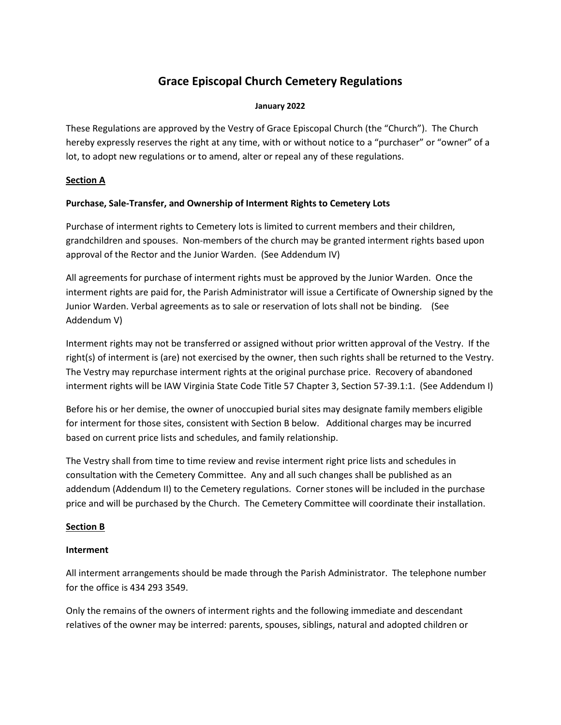## **Grace Episcopal Church Cemetery Regulations**

#### **January 2022**

These Regulations are approved by the Vestry of Grace Episcopal Church (the "Church"). The Church hereby expressly reserves the right at any time, with or without notice to a "purchaser" or "owner" of a lot, to adopt new regulations or to amend, alter or repeal any of these regulations.

#### **Section A**

#### **Purchase, Sale-Transfer, and Ownership of Interment Rights to Cemetery Lots**

Purchase of interment rights to Cemetery lots is limited to current members and their children, grandchildren and spouses. Non-members of the church may be granted interment rights based upon approval of the Rector and the Junior Warden. (See Addendum IV)

All agreements for purchase of interment rights must be approved by the Junior Warden. Once the interment rights are paid for, the Parish Administrator will issue a Certificate of Ownership signed by the Junior Warden. Verbal agreements as to sale or reservation of lots shall not be binding. (See Addendum V)

Interment rights may not be transferred or assigned without prior written approval of the Vestry. If the right(s) of interment is (are) not exercised by the owner, then such rights shall be returned to the Vestry. The Vestry may repurchase interment rights at the original purchase price. Recovery of abandoned interment rights will be IAW Virginia State Code Title 57 Chapter 3, Section 57-39.1:1. (See Addendum I)

Before his or her demise, the owner of unoccupied burial sites may designate family members eligible for interment for those sites, consistent with Section B below. Additional charges may be incurred based on current price lists and schedules, and family relationship.

The Vestry shall from time to time review and revise interment right price lists and schedules in consultation with the Cemetery Committee. Any and all such changes shall be published as an addendum (Addendum II) to the Cemetery regulations. Corner stones will be included in the purchase price and will be purchased by the Church. The Cemetery Committee will coordinate their installation.

### **Section B**

#### **Interment**

All interment arrangements should be made through the Parish Administrator. The telephone number for the office is 434 293 3549.

Only the remains of the owners of interment rights and the following immediate and descendant relatives of the owner may be interred: parents, spouses, siblings, natural and adopted children or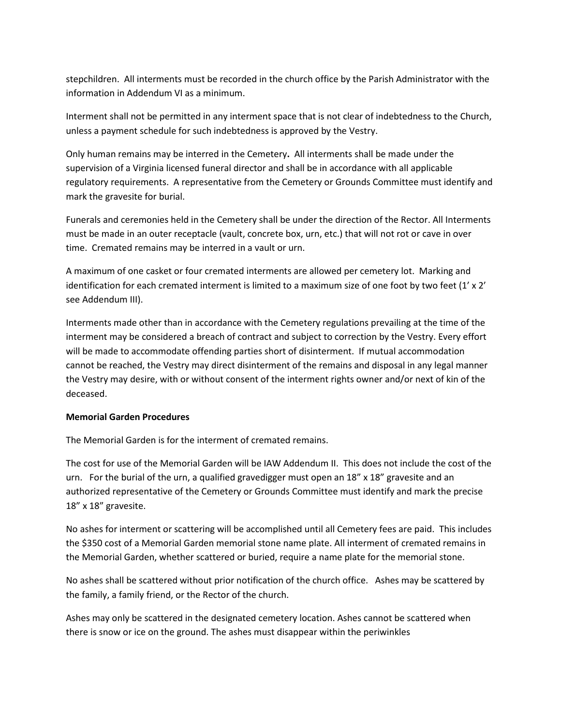stepchildren. All interments must be recorded in the church office by the Parish Administrator with the information in Addendum VI as a minimum.

Interment shall not be permitted in any interment space that is not clear of indebtedness to the Church, unless a payment schedule for such indebtedness is approved by the Vestry.

Only human remains may be interred in the Cemetery**.** All interments shall be made under the supervision of a Virginia licensed funeral director and shall be in accordance with all applicable regulatory requirements. A representative from the Cemetery or Grounds Committee must identify and mark the gravesite for burial.

Funerals and ceremonies held in the Cemetery shall be under the direction of the Rector. All Interments must be made in an outer receptacle (vault, concrete box, urn, etc.) that will not rot or cave in over time. Cremated remains may be interred in a vault or urn.

A maximum of one casket or four cremated interments are allowed per cemetery lot. Marking and identification for each cremated interment is limited to a maximum size of one foot by two feet (1' x 2' see Addendum III).

Interments made other than in accordance with the Cemetery regulations prevailing at the time of the interment may be considered a breach of contract and subject to correction by the Vestry. Every effort will be made to accommodate offending parties short of disinterment. If mutual accommodation cannot be reached, the Vestry may direct disinterment of the remains and disposal in any legal manner the Vestry may desire, with or without consent of the interment rights owner and/or next of kin of the deceased.

#### **Memorial Garden Procedures**

The Memorial Garden is for the interment of cremated remains.

The cost for use of the Memorial Garden will be IAW Addendum II. This does not include the cost of the urn. For the burial of the urn, a qualified gravedigger must open an 18" x 18" gravesite and an authorized representative of the Cemetery or Grounds Committee must identify and mark the precise 18" x 18" gravesite.

No ashes for interment or scattering will be accomplished until all Cemetery fees are paid. This includes the \$350 cost of a Memorial Garden memorial stone name plate. All interment of cremated remains in the Memorial Garden, whether scattered or buried, require a name plate for the memorial stone.

No ashes shall be scattered without prior notification of the church office. Ashes may be scattered by the family, a family friend, or the Rector of the church.

Ashes may only be scattered in the designated cemetery location. Ashes cannot be scattered when there is snow or ice on the ground. The ashes must disappear within the periwinkles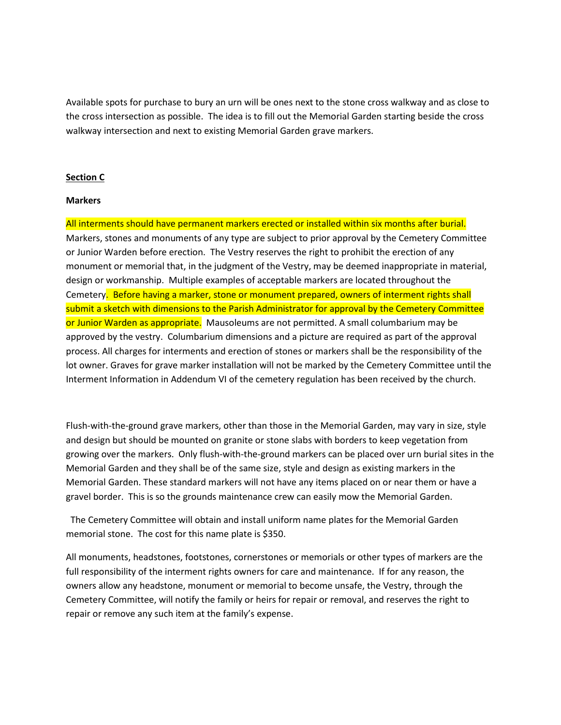Available spots for purchase to bury an urn will be ones next to the stone cross walkway and as close to the cross intersection as possible. The idea is to fill out the Memorial Garden starting beside the cross walkway intersection and next to existing Memorial Garden grave markers.

#### **Section C**

#### **Markers**

All interments should have permanent markers erected or installed within six months after burial. Markers, stones and monuments of any type are subject to prior approval by the Cemetery Committee or Junior Warden before erection. The Vestry reserves the right to prohibit the erection of any monument or memorial that, in the judgment of the Vestry, may be deemed inappropriate in material, design or workmanship. Multiple examples of acceptable markers are located throughout the Cemetery. Before having a marker, stone or monument prepared, owners of interment rights shall submit a sketch with dimensions to the Parish Administrator for approval by the Cemetery Committee or Junior Warden as appropriate. Mausoleums are not permitted. A small columbarium may be approved by the vestry. Columbarium dimensions and a picture are required as part of the approval process. All charges for interments and erection of stones or markers shall be the responsibility of the lot owner. Graves for grave marker installation will not be marked by the Cemetery Committee until the Interment Information in Addendum VI of the cemetery regulation has been received by the church.

Flush-with-the-ground grave markers, other than those in the Memorial Garden, may vary in size, style and design but should be mounted on granite or stone slabs with borders to keep vegetation from growing over the markers. Only flush-with-the-ground markers can be placed over urn burial sites in the Memorial Garden and they shall be of the same size, style and design as existing markers in the Memorial Garden. These standard markers will not have any items placed on or near them or have a gravel border. This is so the grounds maintenance crew can easily mow the Memorial Garden.

The Cemetery Committee will obtain and install uniform name plates for the Memorial Garden memorial stone. The cost for this name plate is \$350.

All monuments, headstones, footstones, cornerstones or memorials or other types of markers are the full responsibility of the interment rights owners for care and maintenance. If for any reason, the owners allow any headstone, monument or memorial to become unsafe, the Vestry, through the Cemetery Committee, will notify the family or heirs for repair or removal, and reserves the right to repair or remove any such item at the family's expense.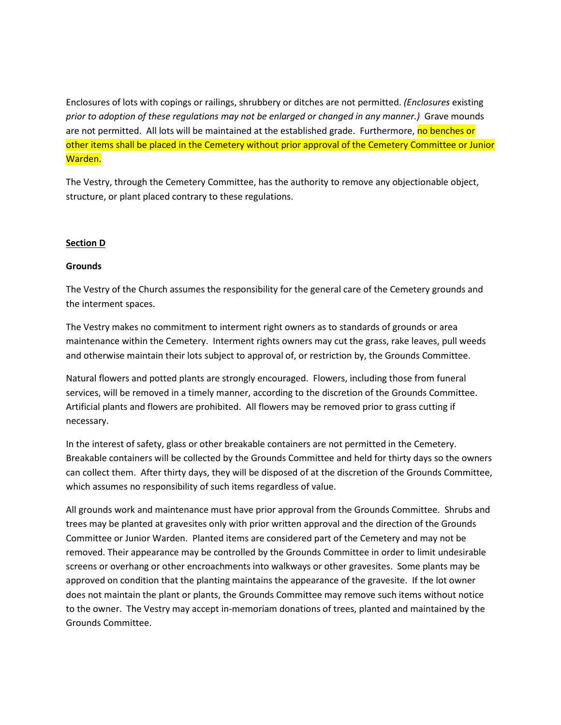Enclosures of lots with copings or railings, shrubbery or ditches are not permitted. *(Enclosures* existing *prior to adoption of these regulations may not be enlarged or changed in any manner.)* Grave mounds are not permitted. All lots will be maintained at the established grade. Furthermore, no benches or other items shall be placed in the Cemetery without prior approval of the Cemetery Committee or Junior Warden.

The Vestry, through the Cemetery Committee, has the authority to remove any objectionable object, structure, or plant placed contrary to these regulations.

#### **Section D**

#### **Grounds**

The Vestry of the Church assumes the responsibility for the general care of the Cemetery grounds and the interment spaces.

The Vestry makes no commitment to interment right owners as to standards of grounds or area maintenance within the Cemetery. Interment rights owners may cut the grass, rake leaves, pull weeds and otherwise maintain their lots subject to approval of, or restriction by, the Grounds Committee.

Natural flowers and potted plants are strongly encouraged. Flowers, including those from funeral services, will be removed in a timely manner, according to the discretion of the Grounds Committee. Artificial plants and flowers are prohibited. All flowers may be removed prior to grass cutting if necessary.

In the interest of safety, glass or other breakable containers are not permitted in the Cemetery. Breakable containers will be collected by the Grounds Committee and held for thirty days so the owners can collect them. After thirty days, they will be disposed of at the discretion of the Grounds Committee, which assumes no responsibility of such items regardless of value.

All grounds work and maintenance must have prior approval from the Grounds Committee. Shrubs and trees may be planted at gravesites only with prior written approval and the direction of the Grounds Committee or Junior Warden. Planted items are considered part of the Cemetery and may not be removed. Their appearance may be controlled by the Grounds Committee in order to limit undesirable screens or overhang or other encroachments into walkways or other gravesites. Some plants may be approved on condition that the planting maintains the appearance of the gravesite. If the lot owner does not maintain the plant or plants, the Grounds Committee may remove such items without notice to the owner. The Vestry may accept in-memoriam donations of trees, planted and maintained by the Grounds Committee.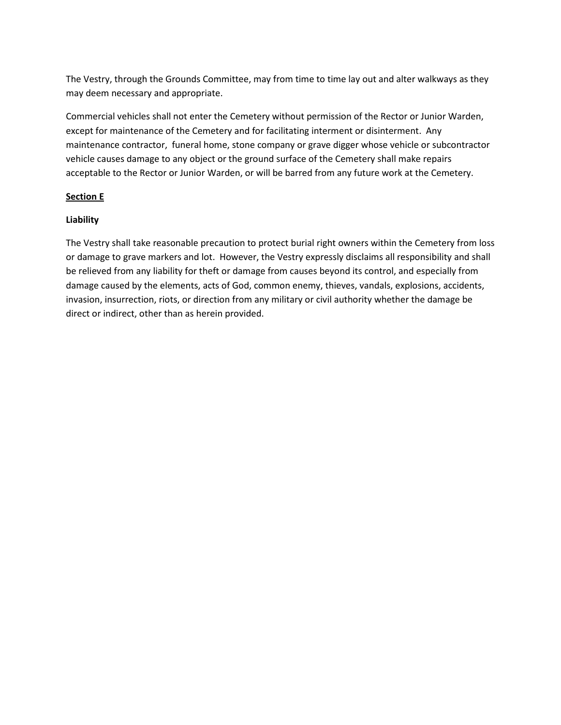The Vestry, through the Grounds Committee, may from time to time lay out and alter walkways as they may deem necessary and appropriate.

Commercial vehicles shall not enter the Cemetery without permission of the Rector or Junior Warden, except for maintenance of the Cemetery and for facilitating interment or disinterment. Any maintenance contractor, funeral home, stone company or grave digger whose vehicle or subcontractor vehicle causes damage to any object or the ground surface of the Cemetery shall make repairs acceptable to the Rector or Junior Warden, or will be barred from any future work at the Cemetery.

#### **Section E**

#### **Liability**

The Vestry shall take reasonable precaution to protect burial right owners within the Cemetery from loss or damage to grave markers and lot. However, the Vestry expressly disclaims all responsibility and shall be relieved from any liability for theft or damage from causes beyond its control, and especially from damage caused by the elements, acts of God, common enemy, thieves, vandals, explosions, accidents, invasion, insurrection, riots, or direction from any military or civil authority whether the damage be direct or indirect, other than as herein provided.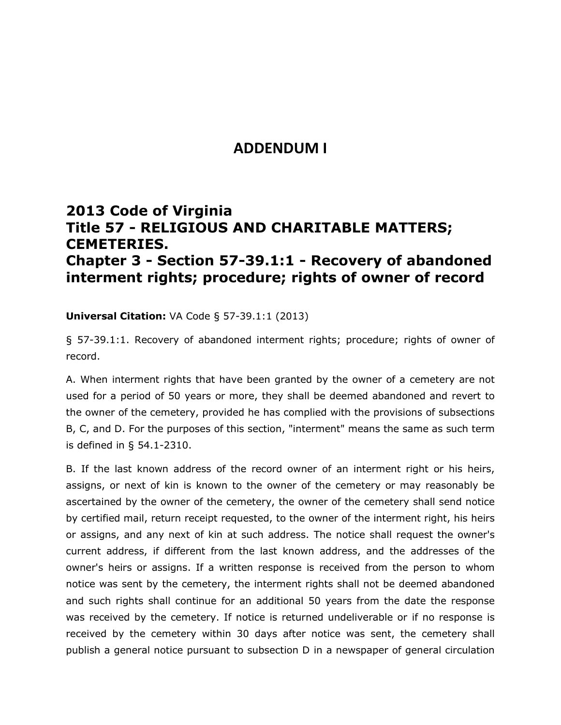## **ADDENDUM I**

## **2013 Code of Virginia Title 57 - RELIGIOUS AND CHARITABLE MATTERS; CEMETERIES. Chapter 3 - Section 57-39.1:1 - Recovery of abandoned interment rights; procedure; rights of owner of record**

### **Universal Citation:** [VA Code § 57-39.1:1 \(2013\)](http://law.justia.com/citations.html)

§ 57-39.1:1. Recovery of abandoned interment rights; procedure; rights of owner of record.

A. When interment rights that have been granted by the owner of a cemetery are not used for a period of 50 years or more, they shall be deemed abandoned and revert to the owner of the cemetery, provided he has complied with the provisions of subsections B, C, and D. For the purposes of this section, "interment" means the same as such term is defined in § 54.1-2310.

B. If the last known address of the record owner of an interment right or his heirs, assigns, or next of kin is known to the owner of the cemetery or may reasonably be ascertained by the owner of the cemetery, the owner of the cemetery shall send notice by certified mail, return receipt requested, to the owner of the interment right, his heirs or assigns, and any next of kin at such address. The notice shall request the owner's current address, if different from the last known address, and the addresses of the owner's heirs or assigns. If a written response is received from the person to whom notice was sent by the cemetery, the interment rights shall not be deemed abandoned and such rights shall continue for an additional 50 years from the date the response was received by the cemetery. If notice is returned undeliverable or if no response is received by the cemetery within 30 days after notice was sent, the cemetery shall publish a general notice pursuant to subsection D in a newspaper of general circulation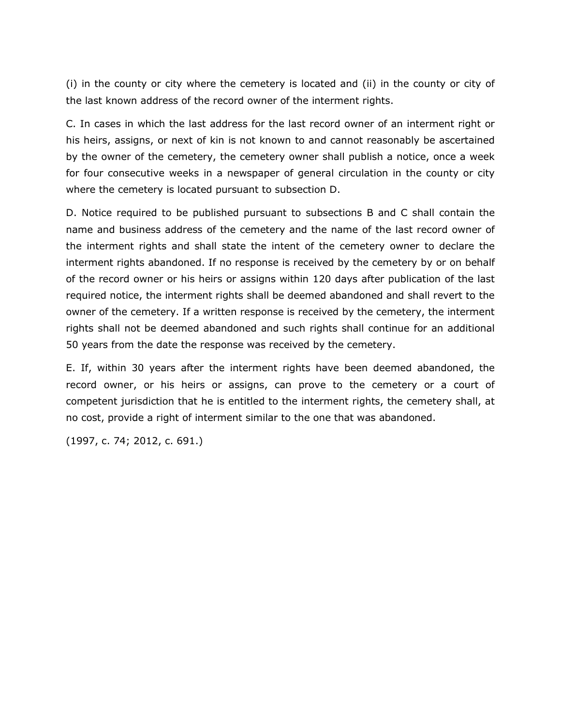(i) in the county or city where the cemetery is located and (ii) in the county or city of the last known address of the record owner of the interment rights.

C. In cases in which the last address for the last record owner of an interment right or his heirs, assigns, or next of kin is not known to and cannot reasonably be ascertained by the owner of the cemetery, the cemetery owner shall publish a notice, once a week for four consecutive weeks in a newspaper of general circulation in the county or city where the cemetery is located pursuant to subsection D.

D. Notice required to be published pursuant to subsections B and C shall contain the name and business address of the cemetery and the name of the last record owner of the interment rights and shall state the intent of the cemetery owner to declare the interment rights abandoned. If no response is received by the cemetery by or on behalf of the record owner or his heirs or assigns within 120 days after publication of the last required notice, the interment rights shall be deemed abandoned and shall revert to the owner of the cemetery. If a written response is received by the cemetery, the interment rights shall not be deemed abandoned and such rights shall continue for an additional 50 years from the date the response was received by the cemetery.

E. If, within 30 years after the interment rights have been deemed abandoned, the record owner, or his heirs or assigns, can prove to the cemetery or a court of competent jurisdiction that he is entitled to the interment rights, the cemetery shall, at no cost, provide a right of interment similar to the one that was abandoned.

(1997, c. 74; 2012, c. 691.)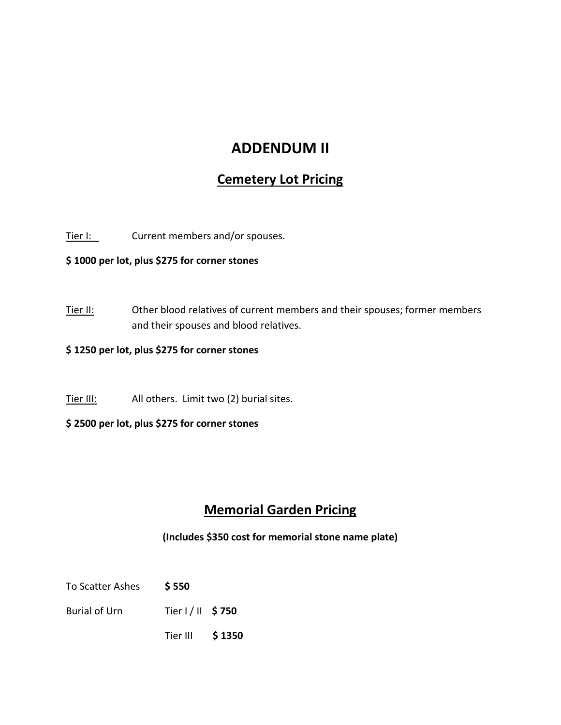## **ADDENDUM II**

## **Cemetery Lot Pricing**

Tier I: Current members and/or spouses.

**\$ 1000 per lot, plus \$275 for corner stones**

Tier II: Other blood relatives of current members and their spouses; former members and their spouses and blood relatives.

### **\$ 1250 per lot, plus \$275 for corner stones**

Tier III: All others. Limit two (2) burial sites.

### **\$ 2500 per lot, plus \$275 for corner stones**

## **Memorial Garden Pricing**

**(Includes \$350 cost for memorial stone name plate)**

- To Scatter Ashes **\$ 550**
- Burial of Urn Tier I / II **\$ 750**
	- Tier III **\$ 1350**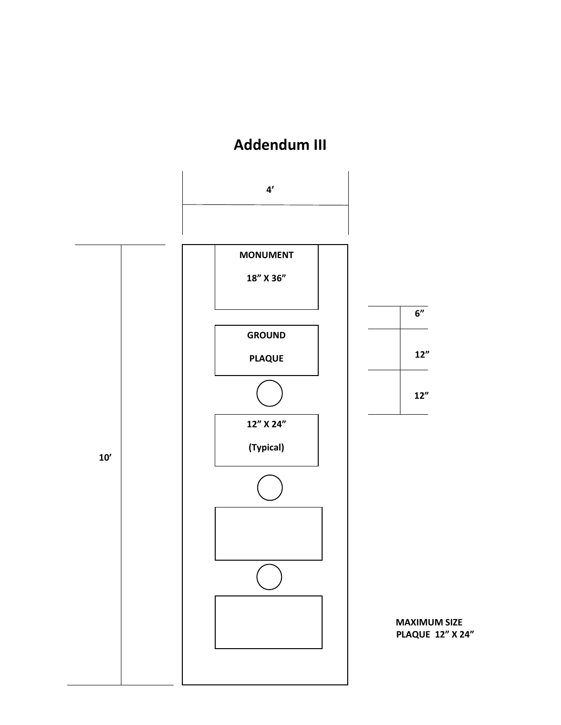# **Addendum III**

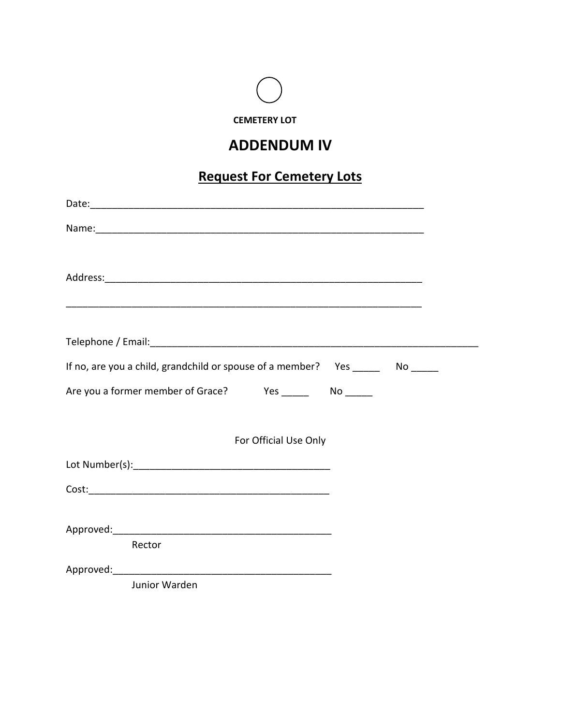

## **ADDENDUM IV**

## **Request For Cemetery Lots**

| Name: Name: Name: Name: Name: Name: Name: Name: Name: Name: Name: Name: Name: Name: Name: Name: Name: Name: Name: Name: Name: Name: Name: Name: Name: Name: Name: Name: Name: Name: Name: Name: Name: Name: Name: Name: Name: |  |
|-------------------------------------------------------------------------------------------------------------------------------------------------------------------------------------------------------------------------------|--|
|                                                                                                                                                                                                                               |  |
|                                                                                                                                                                                                                               |  |
|                                                                                                                                                                                                                               |  |
|                                                                                                                                                                                                                               |  |
|                                                                                                                                                                                                                               |  |
| If no, are you a child, grandchild or spouse of a member? Yes ________ No ______                                                                                                                                              |  |
|                                                                                                                                                                                                                               |  |
|                                                                                                                                                                                                                               |  |
| For Official Use Only                                                                                                                                                                                                         |  |
|                                                                                                                                                                                                                               |  |
|                                                                                                                                                                                                                               |  |
|                                                                                                                                                                                                                               |  |
|                                                                                                                                                                                                                               |  |
| Rector                                                                                                                                                                                                                        |  |
|                                                                                                                                                                                                                               |  |
| Junior Warden                                                                                                                                                                                                                 |  |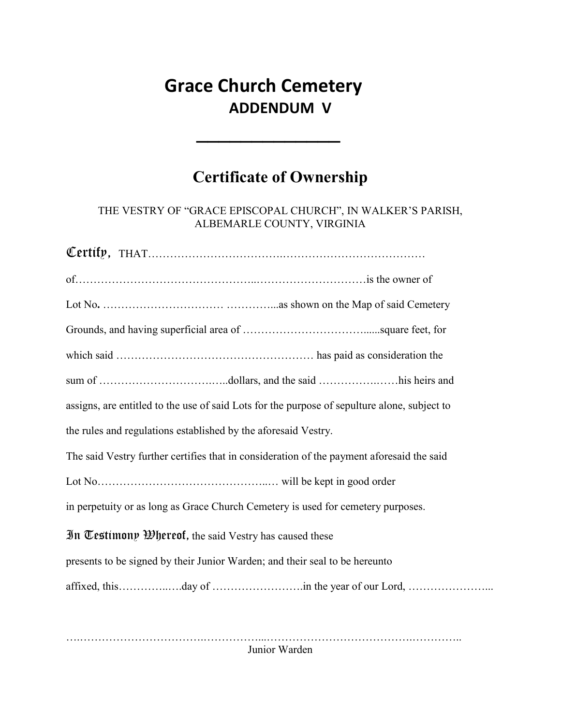# **Grace Church Cemetery ADDENDUM V**

\_\_\_\_\_\_\_\_\_\_\_\_\_

# **Certificate of Ownership**

THE VESTRY OF "GRACE EPISCOPAL CHURCH", IN WALKER'S PARISH, ALBEMARLE COUNTY, VIRGINIA

| assigns, are entitled to the use of said Lots for the purpose of sepulture alone, subject to |
|----------------------------------------------------------------------------------------------|
| the rules and regulations established by the aforesaid Vestry.                               |
| The said Vestry further certifies that in consideration of the payment aforesaid the said    |
|                                                                                              |
| in perpetuity or as long as Grace Church Cemetery is used for cemetery purposes.             |
| In Testimony $\mathfrak{B}$ hereof, the said Vestry has caused these                         |
| presents to be signed by their Junior Warden; and their seal to be hereunto                  |
|                                                                                              |
|                                                                                              |

….…………………………….……………...………………………………….………….. Junior Warden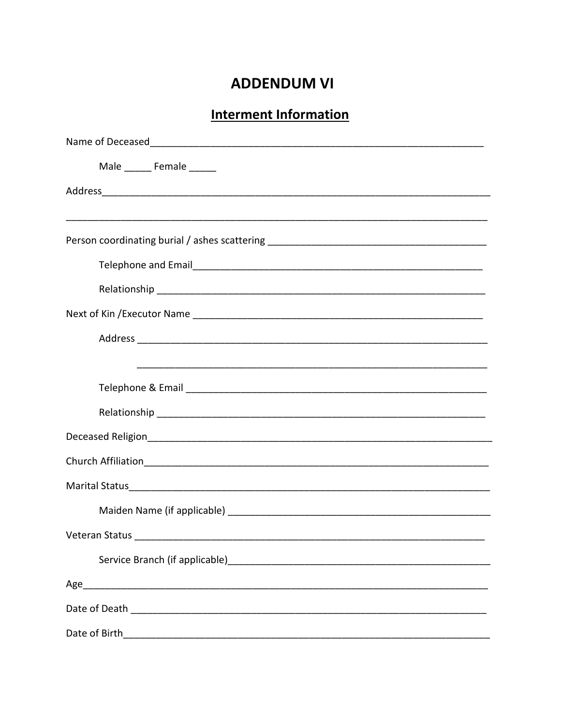## **ADDENDUM VI**

## **Interment Information**

| Male ________ Female ______                                                       |
|-----------------------------------------------------------------------------------|
|                                                                                   |
|                                                                                   |
| Person coordinating burial / ashes scattering ___________________________________ |
|                                                                                   |
|                                                                                   |
|                                                                                   |
|                                                                                   |
|                                                                                   |
|                                                                                   |
|                                                                                   |
|                                                                                   |
|                                                                                   |
|                                                                                   |
|                                                                                   |
|                                                                                   |
|                                                                                   |
|                                                                                   |
|                                                                                   |
| Date of Birth                                                                     |